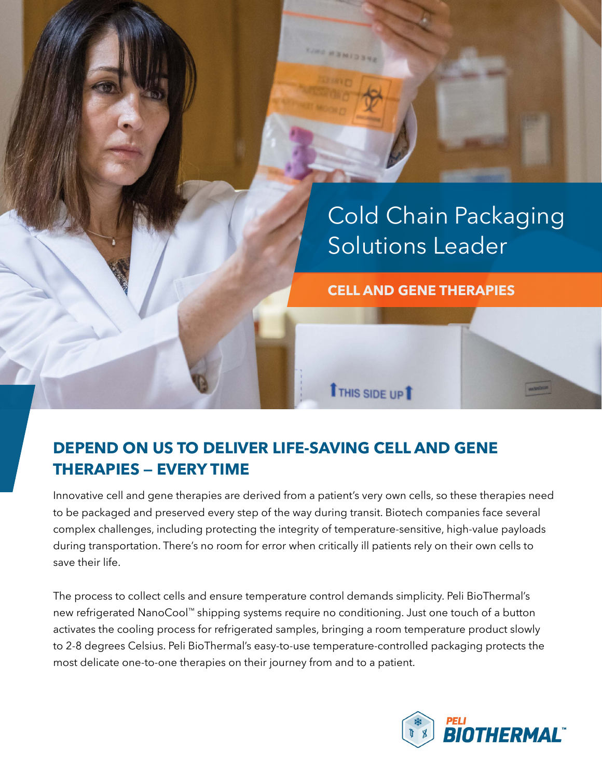

## **DEPEND ON US TO DELIVER LIFE-SAVING CELL AND GENE THERAPIES — EVERY TIME**

Innovative cell and gene therapies are derived from a patient's very own cells, so these therapies need to be packaged and preserved every step of the way during transit. Biotech companies face several complex challenges, including protecting the integrity of temperature-sensitive, high-value payloads during transportation. There's no room for error when critically ill patients rely on their own cells to save their life.

The process to collect cells and ensure temperature control demands simplicity. Peli BioThermal's new refrigerated NanoCool™ shipping systems require no conditioning. Just one touch of a button activates the cooling process for refrigerated samples, bringing a room temperature product slowly to 2-8 degrees Celsius. Peli BioThermal's easy-to-use temperature-controlled packaging protects the most delicate one-to-one therapies on their journey from and to a patient.